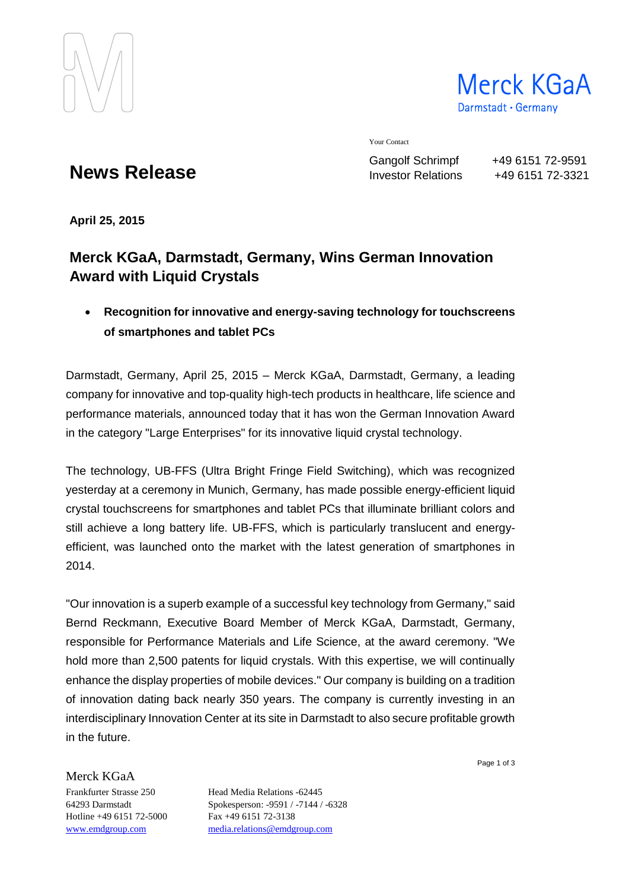

Merck KGaA Darmstadt · Germany

Your Contact

Gangolf Schrimpf +49 6151 72-9591 Investor Relations +49 6151 72-3321

# **News Release**

**April 25, 2015**

## **Merck KGaA, Darmstadt, Germany, Wins German Innovation Award with Liquid Crystals**

 **Recognition for innovative and energy-saving technology for touchscreens of smartphones and tablet PCs**

Darmstadt, Germany, April 25, 2015 – Merck KGaA, Darmstadt, Germany, a leading company for innovative and top-quality high-tech products in healthcare, life science and performance materials, announced today that it has won the German Innovation Award in the category "Large Enterprises" for its innovative liquid crystal technology.

The technology, UB-FFS (Ultra Bright Fringe Field Switching), which was recognized yesterday at a ceremony in Munich, Germany, has made possible energy-efficient liquid crystal touchscreens for smartphones and tablet PCs that illuminate brilliant colors and still achieve a long battery life. UB-FFS, which is particularly translucent and energyefficient, was launched onto the market with the latest generation of smartphones in 2014.

"Our innovation is a superb example of a successful key technology from Germany," said Bernd Reckmann, Executive Board Member of Merck KGaA, Darmstadt, Germany, responsible for Performance Materials and Life Science, at the award ceremony. "We hold more than 2,500 patents for liquid crystals. With this expertise, we will continually enhance the display properties of mobile devices." Our company is building on a tradition of innovation dating back nearly 350 years. The company is currently investing in an interdisciplinary Innovation Center at its site in Darmstadt to also secure profitable growth in the future.

Merck KGaA

Hotline +49 6151 72-5000 Fax +49 6151 72-3138

Frankfurter Strasse 250 Head Media Relations -62445 64293 Darmstadt Spokesperson: -9591 / -7144 / -6328 [www.emdgroup.com](http://www.emdgroup.com/) [media.relations@emdgroup.com](mailto:media.relations@emdgroup.com)

Page 1 of 3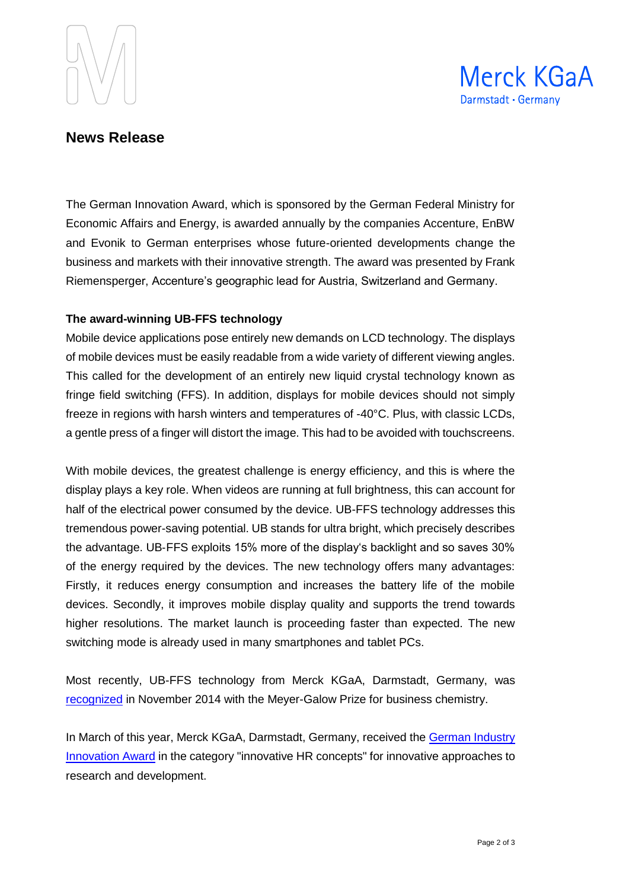



### **News Release**

The German Innovation Award, which is sponsored by the German Federal Ministry for Economic Affairs and Energy, is awarded annually by the companies Accenture, EnBW and Evonik to German enterprises whose future-oriented developments change the business and markets with their innovative strength. The award was presented by Frank Riemensperger, Accenture's geographic lead for Austria, Switzerland and Germany.

#### **The award-winning UB-FFS technology**

Mobile device applications pose entirely new demands on LCD technology. The displays of mobile devices must be easily readable from a wide variety of different viewing angles. This called for the development of an entirely new liquid crystal technology known as fringe field switching (FFS). In addition, displays for mobile devices should not simply freeze in regions with harsh winters and temperatures of -40°C. Plus, with classic LCDs, a gentle press of a finger will distort the image. This had to be avoided with touchscreens.

With mobile devices, the greatest challenge is energy efficiency, and this is where the display plays a key role. When videos are running at full brightness, this can account for half of the electrical power consumed by the device. UB-FFS technology addresses this tremendous power-saving potential. UB stands for ultra bright, which precisely describes the advantage. UB‐FFS exploits 15% more of the display's backlight and so saves 30% of the energy required by the devices. The new technology offers many advantages: Firstly, it reduces energy consumption and increases the battery life of the mobile devices. Secondly, it improves mobile display quality and supports the trend towards higher resolutions. The market launch is proceeding faster than expected. The new switching mode is already used in many smartphones and tablet PCs.

Most recently, UB-FFS technology from Merck KGaA, Darmstadt, Germany, was [recognized](http://news.emdgroup.com/N/0/06F1858E31A57E8CC1257D8E0049FF4D/$File/PI_MeyerGalow_20141114_en_EMD.pdf) in November 2014 with the Meyer-Galow Prize for business chemistry.

In March of this year, Merck KGaA, Darmstadt, Germany, received the [German Industry](http://news.emdgroup.com/N/0/9AEA796A14790ED2C1257E0E0073B4F8/$File/InnovationspreisUS.pdf)  [Innovation Award](http://news.emdgroup.com/N/0/9AEA796A14790ED2C1257E0E0073B4F8/$File/InnovationspreisUS.pdf) in the category "innovative HR concepts" for innovative approaches to research and development.